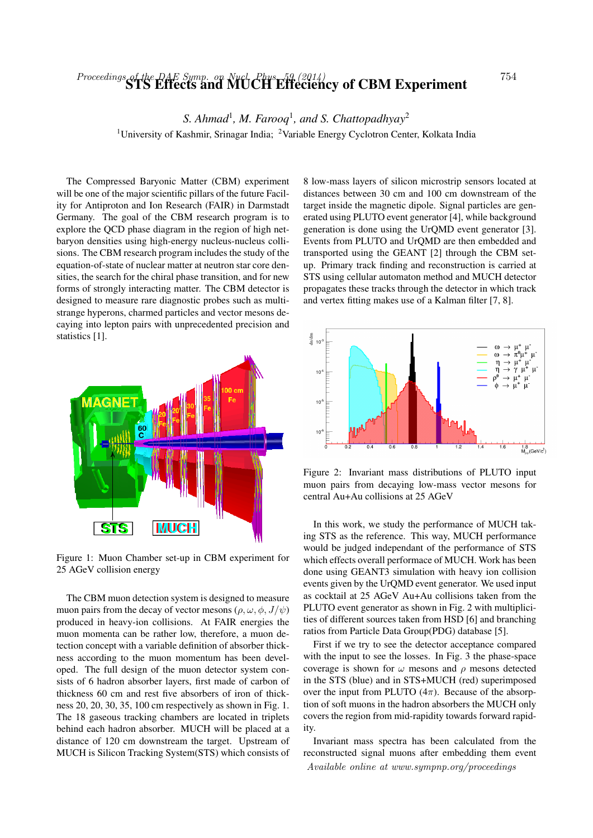## Proceedings of the DAE Symp. on Nucl. Phys. 59 (2014)<br>**STS Effects and MUCH Effeciency of CBM Experiment** 754

S. Ahmad<sup>1</sup>, M. Farooq<sup>1</sup>, and S. Chattopadhyay<sup>2</sup>

<sup>1</sup>University of Kashmir, Srinagar India; <sup>2</sup>Variable Energy Cyclotron Center, Kolkata India

The Compressed Baryonic Matter (CBM) experiment will be one of the major scientific pillars of the future Facility for Antiproton and Ion Research (FAIR) in Darmstadt Germany. The goal of the CBM research program is to explore the QCD phase diagram in the region of high netbaryon densities using high-energy nucleus-nucleus collisions. The CBM research program includes the study of the equation-of-state of nuclear matter at neutron star core densities, the search for the chiral phase transition, and for new forms of strongly interacting matter. The CBM detector is designed to measure rare diagnostic probes such as multistrange hyperons, charmed particles and vector mesons decaying into lepton pairs with unprecedented precision and statistics [1].



Figure 1: Muon Chamber set-up in CBM experiment for 25 AGeV collision energy

The CBM muon detection system is designed to measure muon pairs from the decay of vector mesons ( $\rho$ ,  $\omega$ ,  $\phi$ ,  $J/\psi$ ) produced in heavy-ion collisions. At FAIR energies the muon momenta can be rather low, therefore, a muon detection concept with a variable definition of absorber thickness according to the muon momentum has been developed. The full design of the muon detector system consists of 6 hadron absorber layers, first made of carbon of thickness 60 cm and rest five absorbers of iron of thickness 20, 20, 30, 35, 100 cm respectively as shown in Fig. 1. The 18 gaseous tracking chambers are located in triplets behind each hadron absorber. MUCH will be placed at a distance of 120 cm downstream the target. Upstream of MUCH is Silicon Tracking System(STS) which consists of

8 low-mass layers of silicon microstrip sensors located at distances between 30 cm and 100 cm downstream of the target inside the magnetic dipole. Signal particles are generated using PLUTO event generator [4], while background generation is done using the UrQMD event generator [3]. Events from PLUTO and UrQMD are then embedded and transported using the GEANT [2] through the CBM setup. Primary track finding and reconstruction is carried at STS using cellular automaton method and MUCH detector propagates these tracks through the detector in which track and vertex fitting makes use of a Kalman filter [7, 8].



Figure 2: Invariant mass distributions of PLUTO input muon pairs from decaying low-mass vector mesons for central Au+Au collisions at 25 AGeV

In this work, we study the performance of MUCH taking STS as the reference. This way, MUCH performance would be judged independant of the performance of STS which effects overall performace of MUCH. Work has been done using GEANT3 simulation with heavy ion collision events given by the UrQMD event generator. We used input as cocktail at 25 AGeV Au+Au collisions taken from the PLUTO event generator as shown in Fig. 2 with multiplicities of different sources taken from HSD [6] and branching ratios from Particle Data Group(PDG) database [5].

First if we try to see the detector acceptance compared with the input to see the losses. In Fig. 3 the phase-space coverage is shown for  $\omega$  mesons and  $\rho$  mesons detected in the STS (blue) and in STS+MUCH (red) superimposed over the input from PLUTO  $(4\pi)$ . Because of the absorption of soft muons in the hadron absorbers the MUCH only covers the region from mid-rapidity towards forward rapidity.

Invariant mass spectra has been calculated from the reconstructed signal muons after embedding them event Available online at www.sympnp.org/proceedings